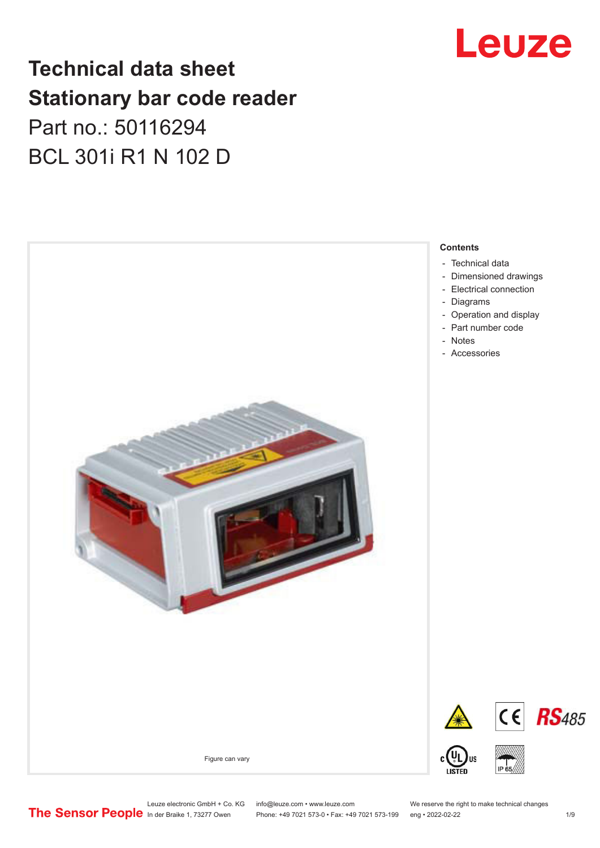# Leuze

## **Technical data sheet Stationary bar code reader** Part no.: 50116294 BCL 301i R1 N 102 D



Leuze electronic GmbH + Co. KG info@leuze.com • www.leuze.com We reserve the right to make technical changes<br>
The Sensor People in der Braike 1, 73277 Owen Phone: +49 7021 573-0 • Fax: +49 7021 573-199 eng • 2022-02-22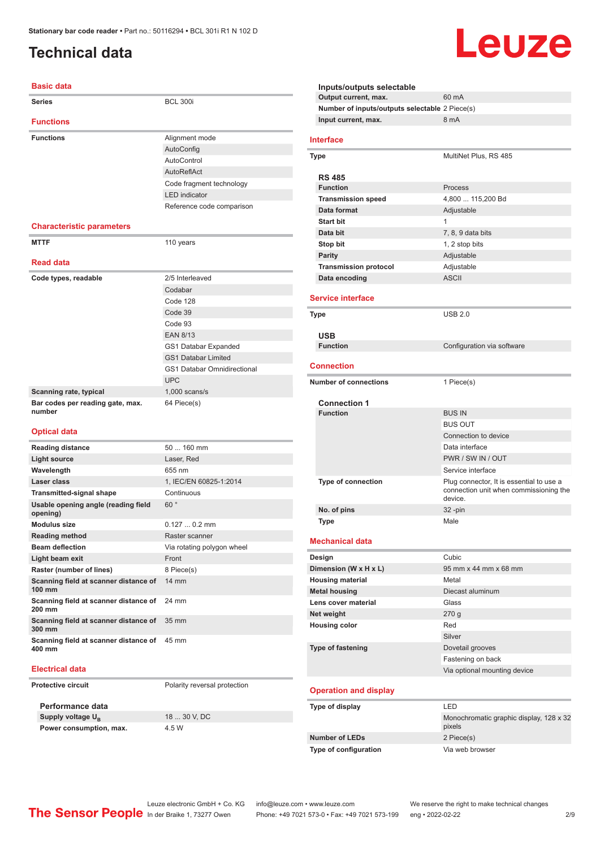### <span id="page-1-0"></span>**Technical data**

#### **Basic data**

| Series                                          | <b>BCL 300i</b>                    |  |
|-------------------------------------------------|------------------------------------|--|
| <b>Functions</b>                                |                                    |  |
| <b>Functions</b>                                | Alignment mode                     |  |
|                                                 | AutoConfig                         |  |
|                                                 | AutoControl                        |  |
|                                                 | AutoReflAct                        |  |
|                                                 | Code fragment technology           |  |
|                                                 | <b>LED</b> indicator               |  |
|                                                 | Reference code comparison          |  |
|                                                 |                                    |  |
| <b>Characteristic parameters</b>                |                                    |  |
| <b>MTTF</b>                                     | 110 years                          |  |
| <b>Read data</b>                                |                                    |  |
| Code types, readable                            | 2/5 Interleaved                    |  |
|                                                 | Codabar                            |  |
|                                                 | Code 128                           |  |
|                                                 | Code 39                            |  |
|                                                 | Code 93                            |  |
|                                                 | <b>EAN 8/13</b>                    |  |
|                                                 | GS1 Databar Expanded               |  |
|                                                 | <b>GS1 Databar Limited</b>         |  |
|                                                 | <b>GS1 Databar Omnidirectional</b> |  |
|                                                 | <b>UPC</b>                         |  |
| Scanning rate, typical                          | $1,000$ scans/s                    |  |
| Bar codes per reading gate, max.<br>number      | 64 Piece(s)                        |  |
|                                                 |                                    |  |
| <b>Optical data</b>                             |                                    |  |
| <b>Reading distance</b>                         | 50  160 mm                         |  |
| <b>Light source</b>                             | Laser, Red                         |  |
| Wavelength                                      | 655 nm                             |  |
| Laser class                                     | 1. IEC/EN 60825-1:2014             |  |
| <b>Transmitted-signal shape</b>                 | Continuous                         |  |
| Usable opening angle (reading field<br>opening) | 60°                                |  |
| <b>Modulus size</b>                             | $0.1270.2$ mm                      |  |
| <b>Reading method</b>                           | Raster scanner                     |  |
| <b>Beam deflection</b>                          | Via rotating polygon wheel         |  |
| Light beam exit                                 | Front                              |  |
| Raster (number of lines)                        | 8 Piece(s)                         |  |
| Scanning field at scanner distance of<br>100 mm | 14 mm                              |  |
| Scanning field at scanner distance of<br>200 mm | 24 mm                              |  |
| Scanning field at scanner distance of<br>300 mm | 35 mm                              |  |

#### **Electrical data**

**400 mm**

**Protective circuit** Polarity reversal protection

**Performance data Supply voltage U<sub>B</sub> Power consumption, max.** 4.5 W

**Scanning field at scanner distance of**  45 mm

18 30 V, DC

**Inputs/outputs selectable Output current, max.** 60 mA **Number of inputs/outputs selectable** 2 Piece(s) **Input current, max.** 8 mA **Interface Type** MultiNet Plus, RS 485 **RS 485 Function** Process **Transmission speed** 4,800 ... 115,200 Bd **Data format** Adjustable **Start bit** 1 **Data bit** 7, 8, 9 data bits **Stop bit** 1, 2 stop bits **Parity** Adjustable **Transmission protocol** Adjustable **Data encoding** ASCII **Service interface Type** USB 2.0 **USB Configuration** via software **Connection Number of connections** 1 Piece(s) **Connection 1 Function** BUS IN BUS OUT Connection to device Data interface PWR / SW IN / OUT Service interface **Type of connection** Plug connector, It is essential to use a connection unit when commissioning the device. **No. of pins** 32 -pin **Type Male Mechanical data Design Cubic Dimension (W x H x L)** 95 mm x 44 mm x 68 mm **Housing material** Metal **Metal housing Diecast aluminum Lens cover material Class Net weight** 270 g **Housing color** Red Silver **Type of fastening** Dovetail grooves Fastening on back Via optional mounting device **Operation and display Type of display** LED Monochromatic graphic display, 128 x 32 pixels **Number of LEDs** 2 Piece(s)

Leuze

**Type of configuration** Via web browser

Leuze electronic GmbH + Co. KG info@leuze.com • www.leuze.com We reserve the right to make technical changes<br>
The Sensor People in der Braike 1, 73277 Owen Phone: +49 7021 573-0 • Fax: +49 7021 573-199 eng • 2022-02-22 Phone: +49 7021 573-0 • Fax: +49 7021 573-199 eng • 2022-02-22 2 2/9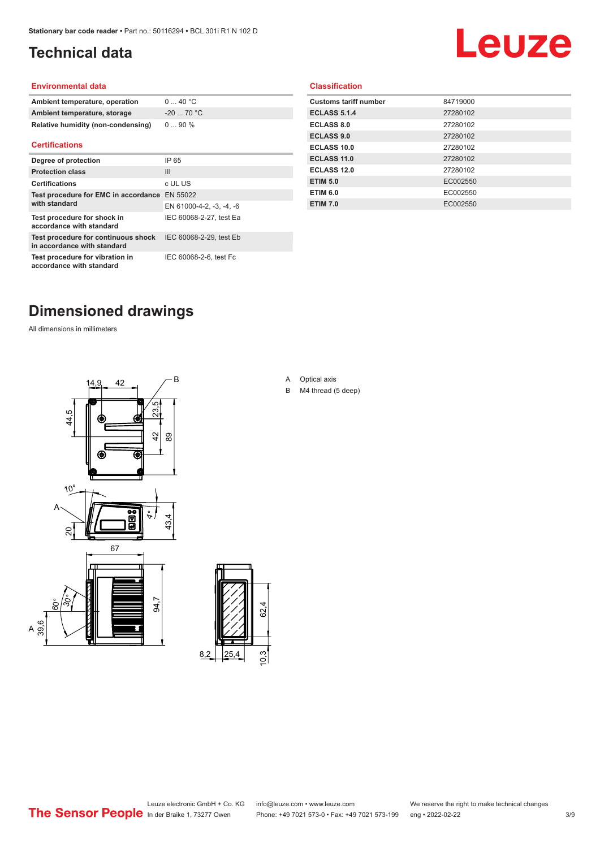### <span id="page-2-0"></span>**Technical data**

# Leuze

#### **Environmental data**

| Ambient temperature, operation     | 040 °C     |
|------------------------------------|------------|
| Ambient temperature, storage       | $-2070 °C$ |
| Relative humidity (non-condensing) | $090\%$    |

#### **Certifications**

| Degree of protection                                               | IP 65                    |
|--------------------------------------------------------------------|--------------------------|
| <b>Protection class</b>                                            | $\mathbf{III}$           |
| <b>Certifications</b>                                              | c UL US                  |
| Test procedure for EMC in accordance EN 55022                      |                          |
| with standard                                                      | EN 61000-4-2, -3, -4, -6 |
| Test procedure for shock in<br>accordance with standard            | IEC 60068-2-27, test Ea  |
| Test procedure for continuous shock<br>in accordance with standard | IEC 60068-2-29, test Eb  |
| Test procedure for vibration in<br>accordance with standard        | IEC 60068-2-6, test Fc   |

#### **Classification**

| <b>Customs tariff number</b> | 84719000 |
|------------------------------|----------|
| <b>ECLASS 5.1.4</b>          | 27280102 |
| <b>ECLASS 8.0</b>            | 27280102 |
| <b>ECLASS 9.0</b>            | 27280102 |
| ECLASS 10.0                  | 27280102 |
| <b>ECLASS 11.0</b>           | 27280102 |
| ECLASS 12.0                  | 27280102 |
| <b>ETIM 5.0</b>              | EC002550 |
| <b>ETIM 6.0</b>              | EC002550 |
| <b>ETIM 7.0</b>              | EC002550 |
|                              |          |

### **Dimensioned drawings**

All dimensions in millimeters





#### A Optical axis

B M4 thread (5 deep)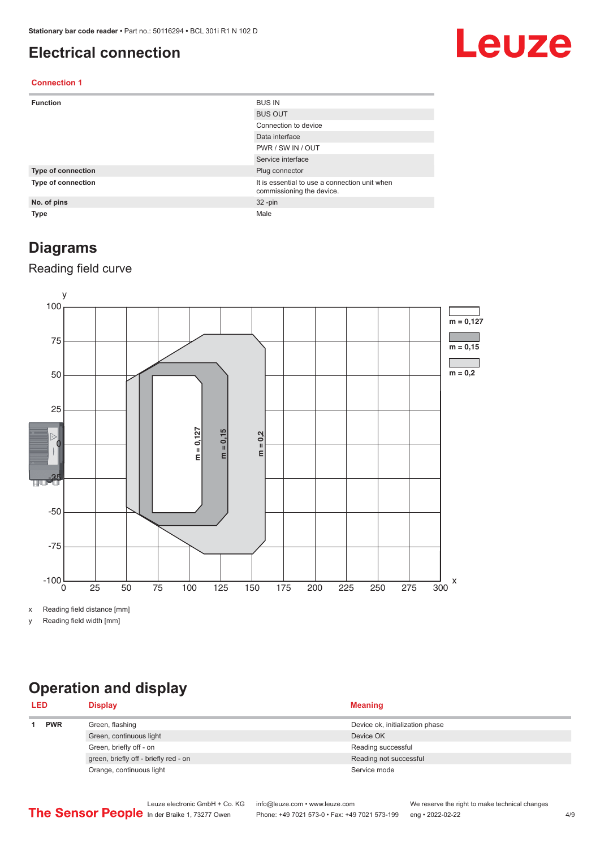#### <span id="page-3-0"></span>**Electrical connection**

# Leuze

#### **Connection 1**

| <b>Function</b>    | <b>BUS IN</b>                                                              |
|--------------------|----------------------------------------------------------------------------|
|                    | <b>BUS OUT</b>                                                             |
|                    | Connection to device                                                       |
|                    | Data interface                                                             |
|                    | PWR / SW IN / OUT                                                          |
|                    | Service interface                                                          |
| Type of connection | Plug connector                                                             |
| Type of connection | It is essential to use a connection unit when<br>commissioning the device. |
| No. of pins        | $32 - pin$                                                                 |
| Type               | Male                                                                       |

#### **Diagrams**

#### Reading field curve



x Reading field distance [mm]

y Reading field width [mm]

### **Operation and display**

| <b>LED</b> |  | <b>Display</b>                        | <b>Meaning</b>                  |
|------------|--|---------------------------------------|---------------------------------|
| <b>PWR</b> |  | Green, flashing                       | Device ok, initialization phase |
|            |  | Green, continuous light               | Device OK                       |
|            |  | Green, briefly off - on               | Reading successful              |
|            |  | green, briefly off - briefly red - on | Reading not successful          |
|            |  | Orange, continuous light              | Service mode                    |
|            |  |                                       |                                 |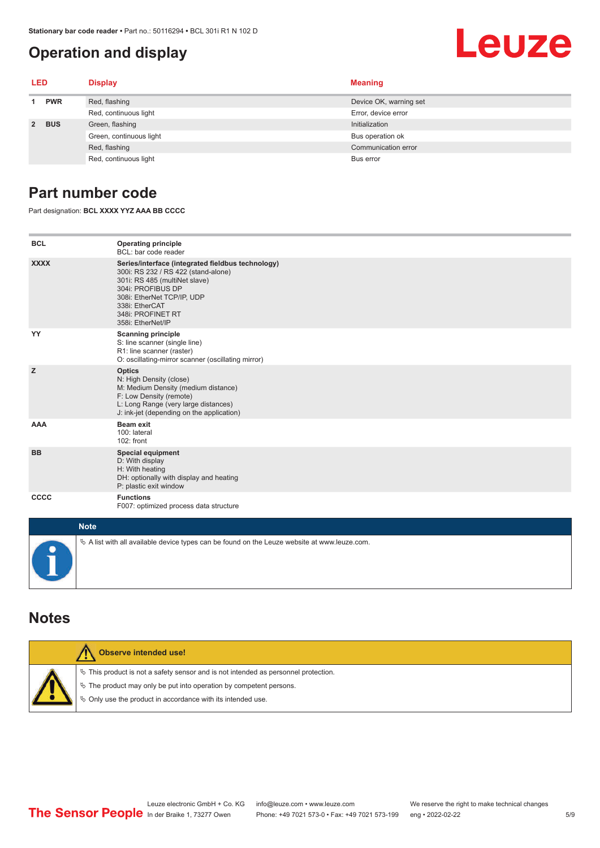#### <span id="page-4-0"></span>**Operation and display**

# Leuze

| LED        |       | <b>Display</b>          | <b>Meaning</b>         |
|------------|-------|-------------------------|------------------------|
| <b>PWR</b> |       | Red, flashing           | Device OK, warning set |
|            |       | Red, continuous light   | Error, device error    |
|            | 2 BUS | Green, flashing         | Initialization         |
|            |       | Green, continuous light | Bus operation ok       |
|            |       | Red, flashing           | Communication error    |
|            |       | Red, continuous light   | Bus error              |

#### **Part number code**

Part designation: **BCL XXXX YYZ AAA BB CCCC**

| <b>BCL</b>  | <b>Operating principle</b><br>BCL: bar code reader                                                                                                                                                                                       |
|-------------|------------------------------------------------------------------------------------------------------------------------------------------------------------------------------------------------------------------------------------------|
| <b>XXXX</b> | Series/interface (integrated fieldbus technology)<br>300i: RS 232 / RS 422 (stand-alone)<br>301i: RS 485 (multiNet slave)<br>304i: PROFIBUS DP<br>308i: EtherNet TCP/IP, UDP<br>338i: EtherCAT<br>348i: PROFINET RT<br>358i: EtherNet/IP |
| YY          | <b>Scanning principle</b><br>S: line scanner (single line)<br>R1: line scanner (raster)<br>O: oscillating-mirror scanner (oscillating mirror)                                                                                            |
| z           | <b>Optics</b><br>N: High Density (close)<br>M: Medium Density (medium distance)<br>F: Low Density (remote)<br>L: Long Range (very large distances)<br>J: ink-jet (depending on the application)                                          |
| <b>AAA</b>  | <b>Beam exit</b><br>100: lateral<br>$102:$ front                                                                                                                                                                                         |
| <b>BB</b>   | <b>Special equipment</b><br>D: With display<br>H: With heating<br>DH: optionally with display and heating<br>P: plastic exit window                                                                                                      |
| <b>CCCC</b> | <b>Functions</b><br>F007: optimized process data structure                                                                                                                                                                               |
| <b>Made</b> |                                                                                                                                                                                                                                          |

| <b>Note</b>                                                                                       |
|---------------------------------------------------------------------------------------------------|
| $\phi$ A list with all available device types can be found on the Leuze website at www.leuze.com. |

#### **Notes**

| <b>Observe intended use!</b>                                                                                                                                                                                                  |
|-------------------------------------------------------------------------------------------------------------------------------------------------------------------------------------------------------------------------------|
| $\%$ This product is not a safety sensor and is not intended as personnel protection.<br>$\%$ The product may only be put into operation by competent persons.<br>₿ Only use the product in accordance with its intended use. |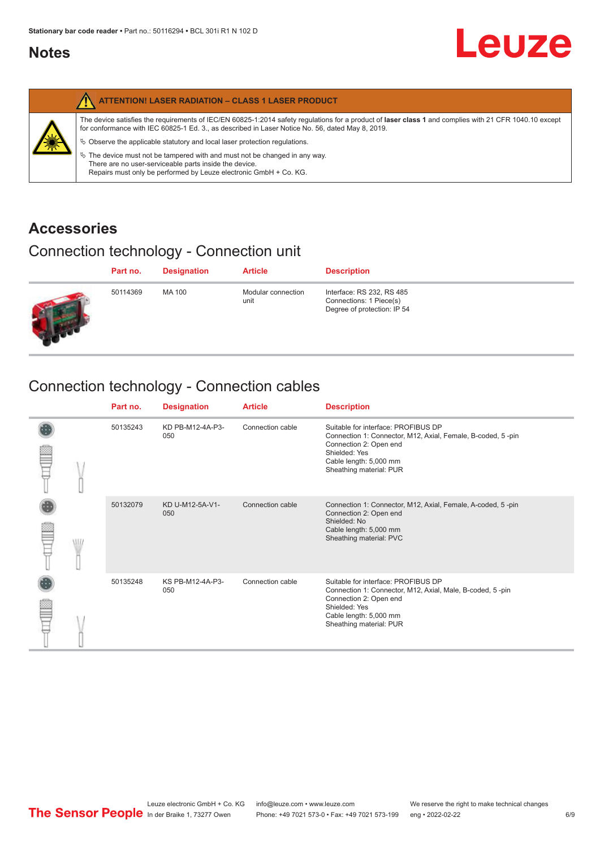#### <span id="page-5-0"></span>**Notes**

|   | <b>ATTENTION! LASER RADIATION - CLASS 1 LASER PRODUCT</b>                                                                                                                                                                                                                                                                                                                                                                                                                                                                                                   |
|---|-------------------------------------------------------------------------------------------------------------------------------------------------------------------------------------------------------------------------------------------------------------------------------------------------------------------------------------------------------------------------------------------------------------------------------------------------------------------------------------------------------------------------------------------------------------|
| 纂 | The device satisfies the requirements of IEC/EN 60825-1:2014 safety requlations for a product of laser class 1 and complies with 21 CFR 1040.10 except<br>for conformance with IEC 60825-1 Ed. 3., as described in Laser Notice No. 56, dated May 8, 2019.<br>$\&$ Observe the applicable statutory and local laser protection regulations.<br>$\%$ The device must not be tampered with and must not be changed in any way.<br>There are no user-serviceable parts inside the device.<br>Repairs must only be performed by Leuze electronic GmbH + Co. KG. |

#### **Accessories**

### Connection technology - Connection unit

| Part no. | <b>Designation</b> | <b>Article</b>             | <b>Description</b>                                                                  |
|----------|--------------------|----------------------------|-------------------------------------------------------------------------------------|
| 50114369 | MA 100             | Modular connection<br>unit | Interface: RS 232, RS 485<br>Connections: 1 Piece(s)<br>Degree of protection: IP 54 |

### Connection technology - Connection cables

|   | Part no. | <b>Designation</b>      | <b>Article</b>   | <b>Description</b>                                                                                                                                                                                 |
|---|----------|-------------------------|------------------|----------------------------------------------------------------------------------------------------------------------------------------------------------------------------------------------------|
|   | 50135243 | KD PB-M12-4A-P3-<br>050 | Connection cable | Suitable for interface: PROFIBUS DP<br>Connection 1: Connector, M12, Axial, Female, B-coded, 5-pin<br>Connection 2: Open end<br>Shielded: Yes<br>Cable length: 5,000 mm<br>Sheathing material: PUR |
| W | 50132079 | KD U-M12-5A-V1-<br>050  | Connection cable | Connection 1: Connector, M12, Axial, Female, A-coded, 5-pin<br>Connection 2: Open end<br>Shielded: No<br>Cable length: 5,000 mm<br>Sheathing material: PVC                                         |
|   | 50135248 | KS PB-M12-4A-P3-<br>050 | Connection cable | Suitable for interface: PROFIBUS DP<br>Connection 1: Connector, M12, Axial, Male, B-coded, 5-pin<br>Connection 2: Open end<br>Shielded: Yes<br>Cable length: 5,000 mm<br>Sheathing material: PUR   |

**Leuze**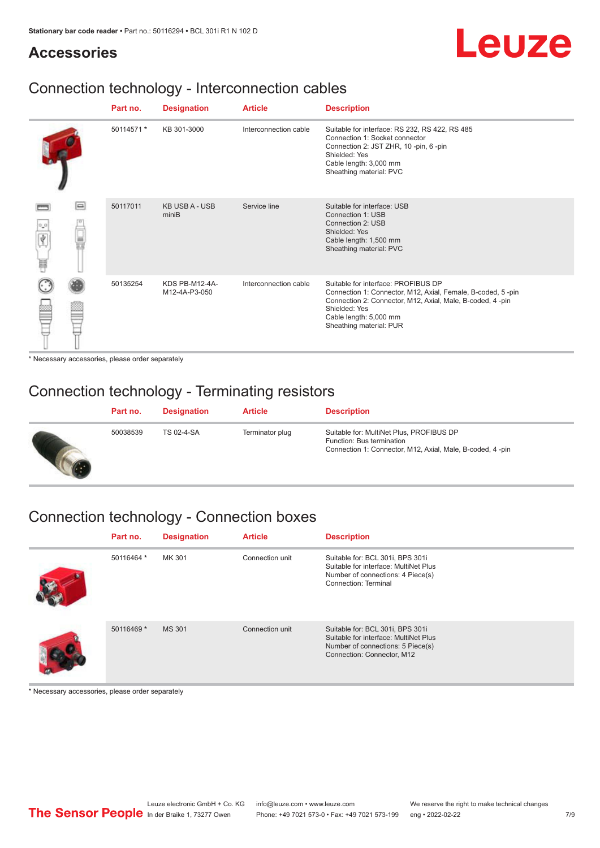#### **Accessories**

# Leuze

### Connection technology - Interconnection cables

|                 |        | Part no.   | <b>Designation</b>              | <b>Article</b>        | <b>Description</b>                                                                                                                                                                                                                    |
|-----------------|--------|------------|---------------------------------|-----------------------|---------------------------------------------------------------------------------------------------------------------------------------------------------------------------------------------------------------------------------------|
|                 |        | 50114571 * | KB 301-3000                     | Interconnection cable | Suitable for interface: RS 232, RS 422, RS 485<br>Connection 1: Socket connector<br>Connection 2: JST ZHR, 10 -pin, 6 -pin<br>Shielded: Yes<br>Cable length: 3,000 mm<br>Sheathing material: PVC                                      |
| $\sigma$ o<br>Ħ | $\Box$ | 50117011   | <b>KB USB A - USB</b><br>miniB  | Service line          | Suitable for interface: USB<br>Connection 1: USB<br>Connection 2: USB<br>Shielded: Yes<br>Cable length: 1,500 mm<br>Sheathing material: PVC                                                                                           |
|                 |        | 50135254   | KDS PB-M12-4A-<br>M12-4A-P3-050 | Interconnection cable | Suitable for interface: PROFIBUS DP<br>Connection 1: Connector, M12, Axial, Female, B-coded, 5-pin<br>Connection 2: Connector, M12, Axial, Male, B-coded, 4-pin<br>Shielded: Yes<br>Cable length: 5,000 mm<br>Sheathing material: PUR |

\* Necessary accessories, please order separately

#### Connection technology - Terminating resistors

| Part no. | <b>Designation</b> | <b>Article</b>  | <b>Description</b>                                                                                                                 |
|----------|--------------------|-----------------|------------------------------------------------------------------------------------------------------------------------------------|
| 50038539 | TS 02-4-SA         | Terminator plug | Suitable for: MultiNet Plus, PROFIBUS DP<br>Function: Bus termination<br>Connection 1: Connector, M12, Axial, Male, B-coded, 4-pin |

### Connection technology - Connection boxes

| Part no.   | <b>Designation</b> | <b>Article</b>  | <b>Description</b>                                                                                                                           |
|------------|--------------------|-----------------|----------------------------------------------------------------------------------------------------------------------------------------------|
| 50116464 * | MK 301             | Connection unit | Suitable for: BCL 301i, BPS 301i<br>Suitable for interface: MultiNet Plus<br>Number of connections: 4 Piece(s)<br>Connection: Terminal       |
| 50116469 * | <b>MS 301</b>      | Connection unit | Suitable for: BCL 301i, BPS 301i<br>Suitable for interface: MultiNet Plus<br>Number of connections: 5 Piece(s)<br>Connection: Connector, M12 |

\* Necessary accessories, please order separately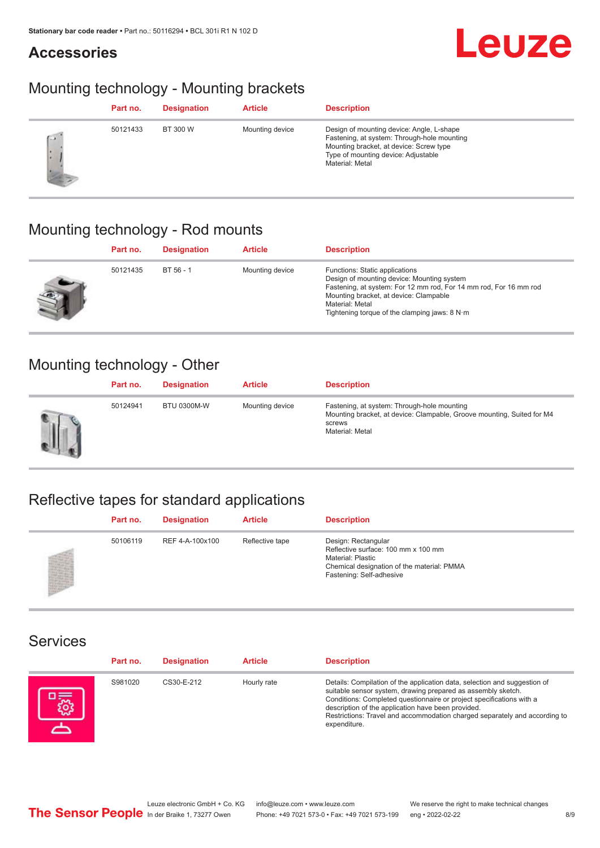#### **Accessories**

# Leuze

### Mounting technology - Mounting brackets

|            | Part no. | <b>Designation</b> | <b>Article</b>  | <b>Description</b>                                                                                                                                                                            |
|------------|----------|--------------------|-----------------|-----------------------------------------------------------------------------------------------------------------------------------------------------------------------------------------------|
| <b>CON</b> | 50121433 | BT 300 W           | Mounting device | Design of mounting device: Angle, L-shape<br>Fastening, at system: Through-hole mounting<br>Mounting bracket, at device: Screw type<br>Type of mounting device: Adjustable<br>Material: Metal |

### Mounting technology - Rod mounts

| Part no. | <b>Designation</b> | <b>Article</b>  | <b>Description</b>                                                                                                                                                                                                                                                                     |
|----------|--------------------|-----------------|----------------------------------------------------------------------------------------------------------------------------------------------------------------------------------------------------------------------------------------------------------------------------------------|
| 50121435 | $BT 56 - 1$        | Mounting device | Functions: Static applications<br>Design of mounting device: Mounting system<br>Fastening, at system: For 12 mm rod, For 14 mm rod, For 16 mm rod<br>Mounting bracket, at device: Clampable<br>Material: Metal<br>Tightening torque of the clamping jaws: $8 \text{ N} \cdot \text{m}$ |

#### Mounting technology - Other

|   | Part no. | <b>Designation</b> | <b>Article</b>  | <b>Description</b>                                                                                                                                 |
|---|----------|--------------------|-----------------|----------------------------------------------------------------------------------------------------------------------------------------------------|
| Ш | 50124941 | <b>BTU 0300M-W</b> | Mounting device | Fastening, at system: Through-hole mounting<br>Mounting bracket, at device: Clampable, Groove mounting, Suited for M4<br>screws<br>Material: Metal |

### Reflective tapes for standard applications

| Part no. | <b>Designation</b> | <b>Article</b>  | <b>Description</b>                                                                                                                                               |
|----------|--------------------|-----------------|------------------------------------------------------------------------------------------------------------------------------------------------------------------|
| 50106119 | REF 4-A-100x100    | Reflective tape | Design: Rectangular<br>Reflective surface: 100 mm x 100 mm<br><b>Material: Plastic</b><br>Chemical designation of the material: PMMA<br>Fastening: Self-adhesive |

#### Services

| Part no. | <b>Designation</b> | <b>Article</b> | <b>Description</b>                                                                                                                                                                                                                                                                                                                                                    |
|----------|--------------------|----------------|-----------------------------------------------------------------------------------------------------------------------------------------------------------------------------------------------------------------------------------------------------------------------------------------------------------------------------------------------------------------------|
| S981020  | CS30-E-212         | Hourly rate    | Details: Compilation of the application data, selection and suggestion of<br>suitable sensor system, drawing prepared as assembly sketch.<br>Conditions: Completed questionnaire or project specifications with a<br>description of the application have been provided.<br>Restrictions: Travel and accommodation charged separately and according to<br>expenditure. |